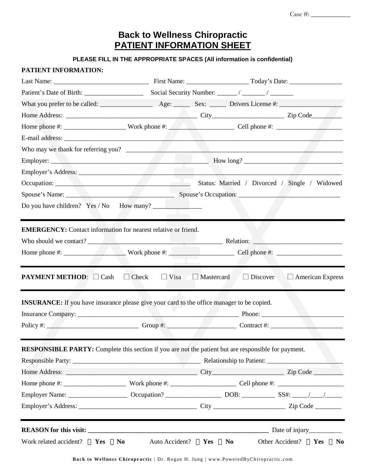# **Back to Wellness Chiropractic PATIENT INFORMATION SHEET**

## **PLEASE FILL IN THE APPROPRIATE SPACES (All information is confidential)**

|                                                                                                   |               | Who may we thank for referring you?                                                                  |
|---------------------------------------------------------------------------------------------------|---------------|------------------------------------------------------------------------------------------------------|
|                                                                                                   |               |                                                                                                      |
|                                                                                                   |               |                                                                                                      |
|                                                                                                   |               |                                                                                                      |
|                                                                                                   |               |                                                                                                      |
| Do you have children? Yes / No How many?                                                          |               |                                                                                                      |
|                                                                                                   |               |                                                                                                      |
| <b>EMERGENCY:</b> Contact information for nearest relative or friend.                             |               |                                                                                                      |
|                                                                                                   |               |                                                                                                      |
|                                                                                                   |               |                                                                                                      |
|                                                                                                   |               |                                                                                                      |
| <b>PAYMENT METHOD:</b><br>Cash                                                                    | Check<br>Visa | Mastercard<br>Discover<br><b>American Express</b>                                                    |
|                                                                                                   |               |                                                                                                      |
|                                                                                                   |               |                                                                                                      |
|                                                                                                   |               |                                                                                                      |
| <b>INSURANCE:</b> If you have insurance please give your card to the office manager to be copied. |               |                                                                                                      |
|                                                                                                   |               |                                                                                                      |
|                                                                                                   |               |                                                                                                      |
|                                                                                                   |               |                                                                                                      |
|                                                                                                   |               | RESPONSIBLE PARTY: Complete this section if you are not the patient but are responsible for payment. |
|                                                                                                   |               |                                                                                                      |
|                                                                                                   |               |                                                                                                      |
|                                                                                                   |               |                                                                                                      |
|                                                                                                   |               |                                                                                                      |
|                                                                                                   |               |                                                                                                      |
| <b>REASON</b> for this visit:                                                                     |               |                                                                                                      |

**Back to Wellness Chiropractic** | Dr. Regan H. Jung | www.Powered ByChiropractic.com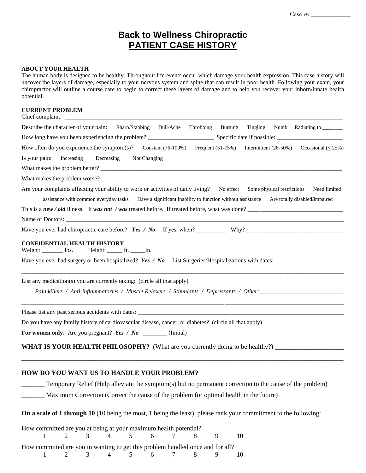## **Back to Wellness Chiropractic PATIENT CASE HISTORY**

## **ABOUT YOUR HEALTH**

The human body is designed to be healthy. Throughout life events occur which damage your health expression. This case history will uncover the layers of damage, especially to your nervous system and spine that can result in poor health. Following your exam, your chiropractor will outline a course care to begin to correct these layers of damage and to help you recover your inborn/innate health potential.

### **CURRENT PROBLEM**

| Chief complaint:                                                                                                                                                                                                                                                                                                                                                             |  |  |  |  |  |  |  |  |  |  |
|------------------------------------------------------------------------------------------------------------------------------------------------------------------------------------------------------------------------------------------------------------------------------------------------------------------------------------------------------------------------------|--|--|--|--|--|--|--|--|--|--|
| Describe the character of your pain:<br>Sharp/Stabbing Dull/Ache<br>Throbbing<br>Burning<br>Tingling Numb Radiating to ________                                                                                                                                                                                                                                              |  |  |  |  |  |  |  |  |  |  |
|                                                                                                                                                                                                                                                                                                                                                                              |  |  |  |  |  |  |  |  |  |  |
| How often do you experience the symptom(s)? Constant (76-100%) Frequent (51-75%)<br>Intermittent (26-50%) Occasional ( $\leq$ 25%)                                                                                                                                                                                                                                           |  |  |  |  |  |  |  |  |  |  |
| Is your pain:<br>Increasing<br>Decreasing<br>Not Changing                                                                                                                                                                                                                                                                                                                    |  |  |  |  |  |  |  |  |  |  |
| What makes the problem better?                                                                                                                                                                                                                                                                                                                                               |  |  |  |  |  |  |  |  |  |  |
|                                                                                                                                                                                                                                                                                                                                                                              |  |  |  |  |  |  |  |  |  |  |
| Are your complaints affecting your ability to work or activities of daily living? No effect Some physical restrictions<br>Need limited<br>assistance with common everyday tasks Have a significant inability to function without assistance Are totally disabled/impaired<br>This is a new / old illness. It was not / was treated before. If treated before, what was done? |  |  |  |  |  |  |  |  |  |  |
|                                                                                                                                                                                                                                                                                                                                                                              |  |  |  |  |  |  |  |  |  |  |
|                                                                                                                                                                                                                                                                                                                                                                              |  |  |  |  |  |  |  |  |  |  |
| Have you ever had surgery or been hospitalized? Yes / No List Surgeries/Hospitalizations with dates: $\frac{1}{\sqrt{1-\frac{1}{n}}}\$<br>List any medication(s) you are currently taking: (circle all that apply)                                                                                                                                                           |  |  |  |  |  |  |  |  |  |  |
|                                                                                                                                                                                                                                                                                                                                                                              |  |  |  |  |  |  |  |  |  |  |
| Do you have any family history of cardiovascular disease, cancer, or diabetes? (circle all that apply)                                                                                                                                                                                                                                                                       |  |  |  |  |  |  |  |  |  |  |
| For women only: Are you pregnant? Yes / No ________ (Initial)                                                                                                                                                                                                                                                                                                                |  |  |  |  |  |  |  |  |  |  |
| <b>WHAT IS YOUR HEALTH PHILOSOPHY?</b> (What are you currently doing to be healthy?)                                                                                                                                                                                                                                                                                         |  |  |  |  |  |  |  |  |  |  |
| <b>HOW DO YOU WANT US TO HANDLE YOUR PROBLEM?</b>                                                                                                                                                                                                                                                                                                                            |  |  |  |  |  |  |  |  |  |  |
| Temporary Relief (Help alleviate the symptom(s) but no permanent correction to the cause of the problem)                                                                                                                                                                                                                                                                     |  |  |  |  |  |  |  |  |  |  |
| Maximum Correction (Correct the cause of the problem for optimal health in the future)                                                                                                                                                                                                                                                                                       |  |  |  |  |  |  |  |  |  |  |

**On a scale of 1 through 10** (10 being the most, 1 being the least), please rank your commitment to the following:

| How committed are you at being at your maximum health potential?               |                      |  |  |  |  |  |  |  |  |  |  |  |
|--------------------------------------------------------------------------------|----------------------|--|--|--|--|--|--|--|--|--|--|--|
|                                                                                | 1 2 3 4 5 6 7 8 9 10 |  |  |  |  |  |  |  |  |  |  |  |
|                                                                                |                      |  |  |  |  |  |  |  |  |  |  |  |
| How committed are you in wanting to get this problem handled once and for all? |                      |  |  |  |  |  |  |  |  |  |  |  |
|                                                                                | 1 2 3 4 5 6 7 8 9 10 |  |  |  |  |  |  |  |  |  |  |  |